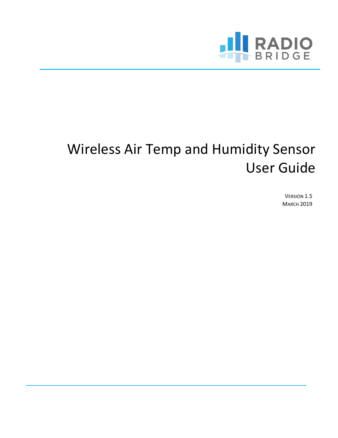

# Wireless Air Temp and Humidity Sensor User Guide

VERSION 1.5 **MARCH 2019**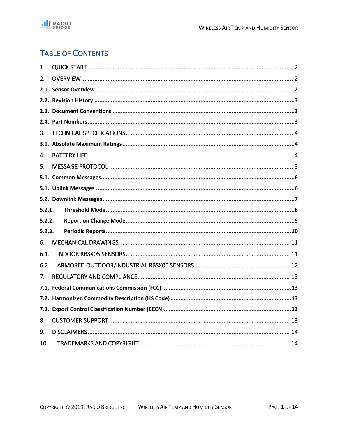# **TABLE OF CONTENTS**

| 1.     |  |
|--------|--|
| 2.     |  |
|        |  |
|        |  |
|        |  |
|        |  |
| 3.     |  |
|        |  |
| 4.     |  |
| 5.     |  |
|        |  |
|        |  |
|        |  |
| 5.2.1. |  |
| 5.2.2. |  |
| 5.2.3. |  |
| 6.     |  |
| 6.1.   |  |
| 6.2.   |  |
| 7.     |  |
|        |  |
|        |  |
|        |  |
|        |  |
| 8.     |  |
| 9.     |  |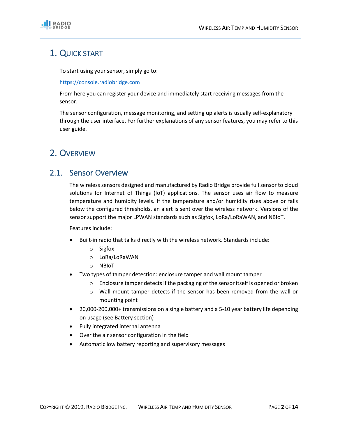

# 1. QUICK START

To start using your sensor, simply go to:

#### [https://console.radiobridge.com](https://console.radiobridge.com/)

From here you can register your device and immediately start receiving messages from the sensor.

The sensor configuration, message monitoring, and setting up alerts is usually self-explanatory through the user interface. For further explanations of any sensor features, you may refer to this user guide.

## 2. OVERVIEW

### 2.1. Sensor Overview

The wireless sensors designed and manufactured by Radio Bridge provide full sensor to cloud solutions for Internet of Things (IoT) applications. The sensor uses air flow to measure temperature and humidity levels. If the temperature and/or humidity rises above or falls below the configured thresholds, an alert is sent over the wireless network. Versions of the sensor support the major LPWAN standards such as Sigfox, LoRa/LoRaWAN, and NBIoT.

Features include:

- Built-in radio that talks directly with the wireless network. Standards include:
	- o Sigfox
	- o LoRa/LoRaWAN
	- o NBIoT
- Two types of tamper detection: enclosure tamper and wall mount tamper
	- o Enclosure tamper detects if the packaging of the sensor itself is opened or broken
	- o Wall mount tamper detects if the sensor has been removed from the wall or mounting point
- 20,000-200,000+ transmissions on a single battery and a 5-10 year battery life depending on usage (see Battery section)
- Fully integrated internal antenna
- Over the air sensor configuration in the field
- Automatic low battery reporting and supervisory messages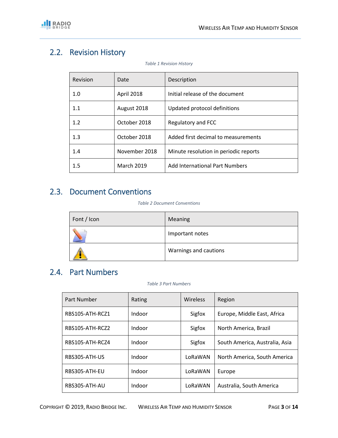# 2.2. Revision History

| Revision | Date              | Description                           |
|----------|-------------------|---------------------------------------|
| 1.0      | April 2018        | Initial release of the document       |
| 1.1      | August 2018       | Updated protocol definitions          |
| 1.2      | October 2018      | Regulatory and FCC                    |
| 1.3      | October 2018      | Added first decimal to measurements   |
| 1.4      | November 2018     | Minute resolution in periodic reports |
| 1.5      | <b>March 2019</b> | Add International Part Numbers        |

*Table 1 Revision History*

# 2.3. Document Conventions

#### *Table 2 Document Conventions*

| Font / Icon | Meaning               |
|-------------|-----------------------|
|             | Important notes       |
|             | Warnings and cautions |

### 2.4. Part Numbers

#### *Table 3 Part Numbers*

| Part Number     | Rating | Wireless | Region                         |
|-----------------|--------|----------|--------------------------------|
| RBS105-ATH-RCZ1 | Indoor | Sigfox   | Europe, Middle East, Africa    |
| RBS105-ATH-RCZ2 | Indoor | Sigfox   | North America, Brazil          |
| RBS105-ATH-RCZ4 | Indoor | Sigfox   | South America, Australia, Asia |
| RBS305-ATH-US   | Indoor | LoRaWAN  | North America, South America   |
| RBS305-ATH-EU   | Indoor | LoRaWAN  | Europe                         |
| RBS305-ATH-AU   | Indoor | LoRaWAN  | Australia, South America       |

COPYRIGHT © 2019, RADIO BRIDGE INC. WIRELESS AIR TEMP AND HUMIDITY SENSOR PAGE **3** OF **14**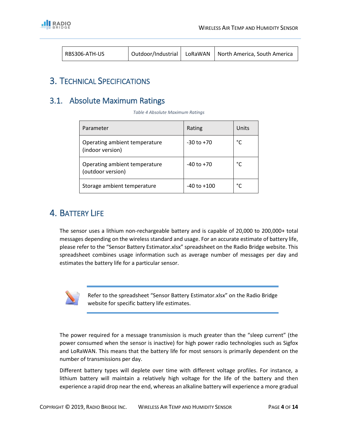

| RBS306-ATH-US | Outdoor/Industrial |  | LoRaWAN   North America, South America |
|---------------|--------------------|--|----------------------------------------|
|---------------|--------------------|--|----------------------------------------|

### 3. TECHNICAL SPECIFICATIONS

### 3.1. Absolute Maximum Ratings

*Table 4 Absolute Maximum Ratings*

| Parameter                                          | Rating          | Units |
|----------------------------------------------------|-----------------|-------|
| Operating ambient temperature<br>(indoor version)  | $-30$ to $+70$  | °C    |
| Operating ambient temperature<br>(outdoor version) | $-40$ to $+70$  | °۲    |
| Storage ambient temperature                        | $-40$ to $+100$ | °۲    |

# 4. BATTERY LIFE

The sensor uses a lithium non-rechargeable battery and is capable of 20,000 to 200,000+ total messages depending on the wireless standard and usage. For an accurate estimate of battery life, please refer to the "Sensor Battery Estimator.xlsx" spreadsheet on the Radio Bridge website. This spreadsheet combines usage information such as average number of messages per day and estimates the battery life for a particular sensor.



Refer to the spreadsheet "Sensor Battery Estimator.xlsx" on the Radio Bridge website for specific battery life estimates.

The power required for a message transmission is much greater than the "sleep current" (the power consumed when the sensor is inactive) for high power radio technologies such as Sigfox and LoRaWAN. This means that the battery life for most sensors is primarily dependent on the number of transmissions per day.

Different battery types will deplete over time with different voltage profiles. For instance, a lithium battery will maintain a relatively high voltage for the life of the battery and then experience a rapid drop near the end, whereas an alkaline battery will experience a more gradual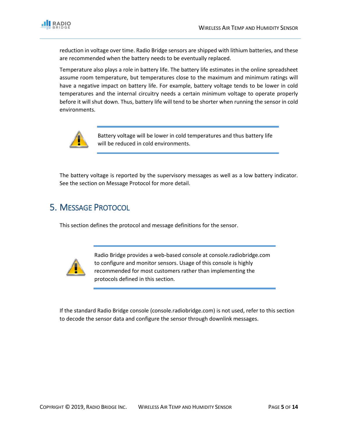

reduction in voltage over time. Radio Bridge sensors are shipped with lithium batteries, and these are recommended when the battery needs to be eventually replaced.

Temperature also plays a role in battery life. The battery life estimates in the online spreadsheet assume room temperature, but temperatures close to the maximum and minimum ratings will have a negative impact on battery life. For example, battery voltage tends to be lower in cold temperatures and the internal circuitry needs a certain minimum voltage to operate properly before it will shut down. Thus, battery life will tend to be shorter when running the sensor in cold environments.



Battery voltage will be lower in cold temperatures and thus battery life will be reduced in cold environments.

The battery voltage is reported by the supervisory messages as well as a low battery indicator. See the section on Message Protocol for more detail.

# 5. MESSAGE PROTOCOL

This section defines the protocol and message definitions for the sensor.



Radio Bridge provides a web-based console at console.radiobridge.com to configure and monitor sensors. Usage of this console is highly recommended for most customers rather than implementing the protocols defined in this section.

If the standard Radio Bridge console (console.radiobridge.com) is not used, refer to this section to decode the sensor data and configure the sensor through downlink messages.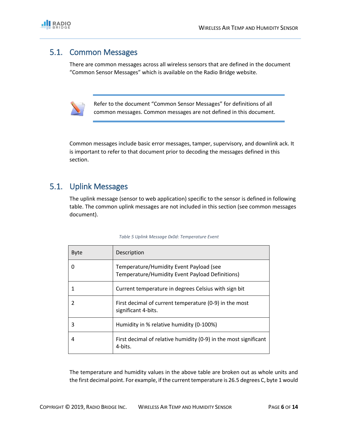

### 5.1. Common Messages

There are common messages across all wireless sensors that are defined in the document "Common Sensor Messages" which is available on the Radio Bridge website.



Refer to the document "Common Sensor Messages" for definitions of all common messages. Common messages are not defined in this document.

Common messages include basic error messages, tamper, supervisory, and downlink ack. It is important to refer to that document prior to decoding the messages defined in this section.

### 5.1. Uplink Messages

The uplink message (sensor to web application) specific to the sensor is defined in following table. The common uplink messages are not included in this section (see common messages document).

| <b>Byte</b> | Description                                                                                |
|-------------|--------------------------------------------------------------------------------------------|
| 0           | Temperature/Humidity Event Payload (see<br>Temperature/Humidity Event Payload Definitions) |
|             | Current temperature in degrees Celsius with sign bit                                       |
| 2           | First decimal of current temperature (0-9) in the most<br>significant 4-bits.              |
| 3           | Humidity in % relative humidity (0-100%)                                                   |
| 4           | First decimal of relative humidity (0-9) in the most significant<br>4-bits.                |

| Table 5 Uplink Message 0x0d: Temperature Event |  |  |  |  |
|------------------------------------------------|--|--|--|--|
|------------------------------------------------|--|--|--|--|

The temperature and humidity values in the above table are broken out as whole units and the first decimal point. For example, if the current temperature is 26.5 degrees C, byte 1 would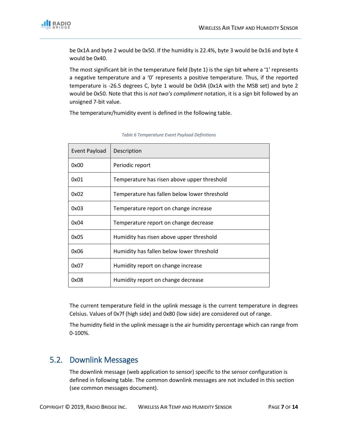

be 0x1A and byte 2 would be 0x50. If the humidity is 22.4%, byte 3 would be 0x16 and byte 4 would be 0x40.

The most significant bit in the temperature field (byte 1) is the sign bit where a '1' represents a negative temperature and a '0' represents a positive temperature. Thus, if the reported temperature is -26.5 degrees C, byte 1 would be 0x9A (0x1A with the MSB set) and byte 2 would be 0x50. Note that this is *not two's compliment* notation, it is a sign bit followed by an unsigned 7-bit value.

The temperature/humidity event is defined in the following table.

| Event Payload | Description                                  |
|---------------|----------------------------------------------|
| 0x00          | Periodic report                              |
| 0x01          | Temperature has risen above upper threshold  |
| 0x02          | Temperature has fallen below lower threshold |
| 0x03          | Temperature report on change increase        |
| 0x04          | Temperature report on change decrease        |
| 0x05          | Humidity has risen above upper threshold     |
| 0x06          | Humidity has fallen below lower threshold    |
| 0x07          | Humidity report on change increase           |
| 0x08          | Humidity report on change decrease           |

#### *Table 6 Temperature Event Payload Definitions*

The current temperature field in the uplink message is the current temperature in degrees Celsius. Values of 0x7f (high side) and 0x80 (low side) are considered out of range.

The humidity field in the uplink message is the air humidity percentage which can range from 0-100%.

### 5.2. Downlink Messages

The downlink message (web application to sensor) specific to the sensor configuration is defined in following table. The common downlink messages are not included in this section (see common messages document).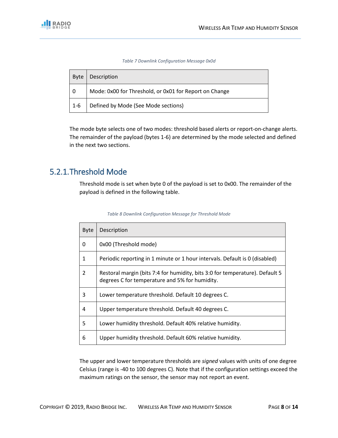*Table 7 Downlink Configuration Message 0x0d*

| <b>Byte</b> | Description                                            |
|-------------|--------------------------------------------------------|
| - 0         | Mode: 0x00 for Threshold, or 0x01 for Report on Change |
| 1-6         | Defined by Mode (See Mode sections)                    |

The mode byte selects one of two modes: threshold based alerts or report-on-change alerts. The remainder of the payload (bytes 1-6) are determined by the mode selected and defined in the next two sections.

## 5.2.1.Threshold Mode

Threshold mode is set when byte 0 of the payload is set to 0x00. The remainder of the payload is defined in the following table.

| <b>Byte</b> | Description                                                                                                                    |
|-------------|--------------------------------------------------------------------------------------------------------------------------------|
| 0           | 0x00 (Threshold mode)                                                                                                          |
| 1           | Periodic reporting in 1 minute or 1 hour intervals. Default is 0 (disabled)                                                    |
| 2           | Restoral margin (bits 7:4 for humidity, bits 3:0 for temperature). Default 5<br>degrees C for temperature and 5% for humidity. |
| 3           | Lower temperature threshold. Default 10 degrees C.                                                                             |
| 4           | Upper temperature threshold. Default 40 degrees C.                                                                             |
| 5           | Lower humidity threshold. Default 40% relative humidity.                                                                       |
| 6           | Upper humidity threshold. Default 60% relative humidity.                                                                       |

*Table 8 Downlink Configuration Message for Threshold Mode*

The upper and lower temperature thresholds are *signed* values with units of one degree Celsius (range is -40 to 100 degrees C). Note that if the configuration settings exceed the maximum ratings on the sensor, the sensor may not report an event.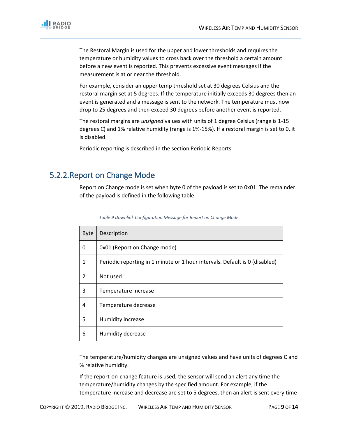

The Restoral Margin is used for the upper and lower thresholds and requires the temperature or humidity values to cross back over the threshold a certain amount before a new event is reported. This prevents excessive event messages if the measurement is at or near the threshold.

For example, consider an upper temp threshold set at 30 degrees Celsius and the restoral margin set at 5 degrees. If the temperature initially exceeds 30 degrees then an event is generated and a message is sent to the network. The temperature must now drop to 25 degrees and then exceed 30 degrees before another event is reported.

The restoral margins are *unsigned* values with units of 1 degree Celsius (range is 1-15 degrees C) and 1% relative humidity (range is 1%-15%). If a restoral margin is set to 0, it is disabled.

Periodic reporting is described in the section Periodic Reports.

### 5.2.2.Report on Change Mode

Report on Change mode is set when byte 0 of the payload is set to 0x01. The remainder of the payload is defined in the following table.

| <b>Byte</b>   | Description                                                                 |
|---------------|-----------------------------------------------------------------------------|
| 0             | 0x01 (Report on Change mode)                                                |
| 1             | Periodic reporting in 1 minute or 1 hour intervals. Default is 0 (disabled) |
| $\mathcal{P}$ | Not used                                                                    |
| 3             | Temperature increase                                                        |
| 4             | Temperature decrease                                                        |
| 5             | Humidity increase                                                           |
| 6             | Humidity decrease                                                           |

*Table 9 Downlink Configuration Message for Report on Change Mode*

The temperature/humidity changes are unsigned values and have units of degrees C and % relative humidity.

If the report-on-change feature is used, the sensor will send an alert any time the temperature/humidity changes by the specified amount. For example, if the temperature increase and decrease are set to 5 degrees, then an alert is sent every time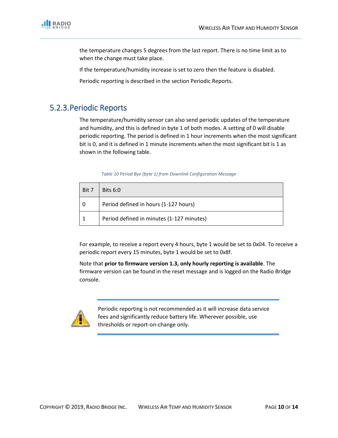

the temperature changes 5 degrees from the last report. There is no time limit as to when the change must take place.

If the temperature/humidity increase is set to zero then the feature is disabled.

Periodic reporting is described in the section Periodic Reports.

### 5.2.3.Periodic Reports

The temperature/humidity sensor can also send periodic updates of the temperature and humidity, and this is defined in byte 1 of both modes. A setting of 0 will disable periodic reporting. The period is defined in 1 hour increments when the most significant bit is 0, and it is defined in 1 minute increments when the most significant bit is 1 as shown in the following table.

|  |  | Table 10 Period Bye (byte 1) from Downlink Configuration Message |  |  |
|--|--|------------------------------------------------------------------|--|--|
|--|--|------------------------------------------------------------------|--|--|

| l Bit 7 | Bits 6:0                                  |
|---------|-------------------------------------------|
|         | Period defined in hours (1-127 hours)     |
|         | Period defined in minutes (1-127 minutes) |

For example, to receive a report every 4 hours, byte 1 would be set to 0x04. To receive a periodic report every 15 minutes, byte 1 would be set to 0x8f.

Note that **prior to firmware version 1.3, only hourly reporting is available**. The firmware version can be found in the reset message and is logged on the Radio Bridge console.



Periodic reporting is not recommended as it will increase data service fees and significantly reduce battery life. Wherever possible, use thresholds or report-on-change only.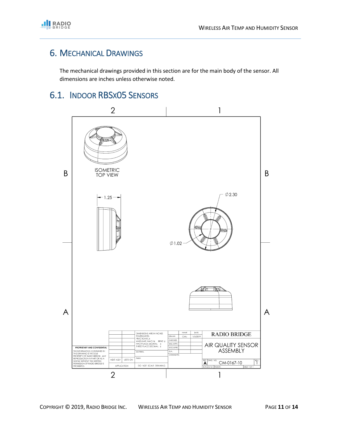

# 6. MECHANICAL DRAWINGS

The mechanical drawings provided in this section are for the main body of the sensor. All dimensions are inches unless otherwise noted.

# 6.1. INDOOR RBSX05 SENSORS

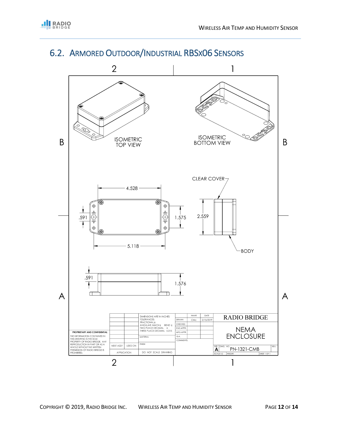

# 6.2. ARMORED OUTDOOR/INDUSTRIAL RBSX06 SENSORS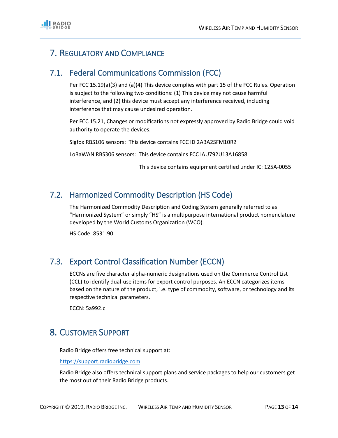# 7. REGULATORY AND COMPLIANCE

### 7.1. Federal Communications Commission (FCC)

Per FCC 15.19(a)(3) and (a)(4) This device complies with part 15 of the FCC Rules. Operation is subject to the following two conditions: (1) This device may not cause harmful interference, and (2) this device must accept any interference received, including interference that may cause undesired operation.

Per FCC 15.21, Changes or modifications not expressly approved by Radio Bridge could void authority to operate the devices.

Sigfox RBS106 sensors: This device contains FCC ID 2ABA2SFM10R2

LoRaWAN RBS306 sensors: This device contains FCC IAU792U13A16858

This device contains equipment certified under IC: 125A-0055

### 7.2. Harmonized Commodity Description (HS Code)

The Harmonized Commodity Description and Coding System generally referred to as "Harmonized System" or simply "HS" is a multipurpose international product nomenclature developed by the World Customs Organization (WCO).

HS Code: 8531.90

### 7.3. Export Control Classification Number (ECCN)

ECCNs are five character alpha-numeric designations used on the Commerce Control List (CCL) to identify dual-use items for export control purposes. An ECCN categorizes items based on the nature of the product, i.e. type of commodity, software, or technology and its respective technical parameters.

ECCN: 5a992.c

## 8. CUSTOMER SUPPORT

Radio Bridge offers free technical support at:

[https://support.radiobridge.com](https://support.radiobridge.com/)

Radio Bridge also offers technical support plans and service packages to help our customers get the most out of their Radio Bridge products.